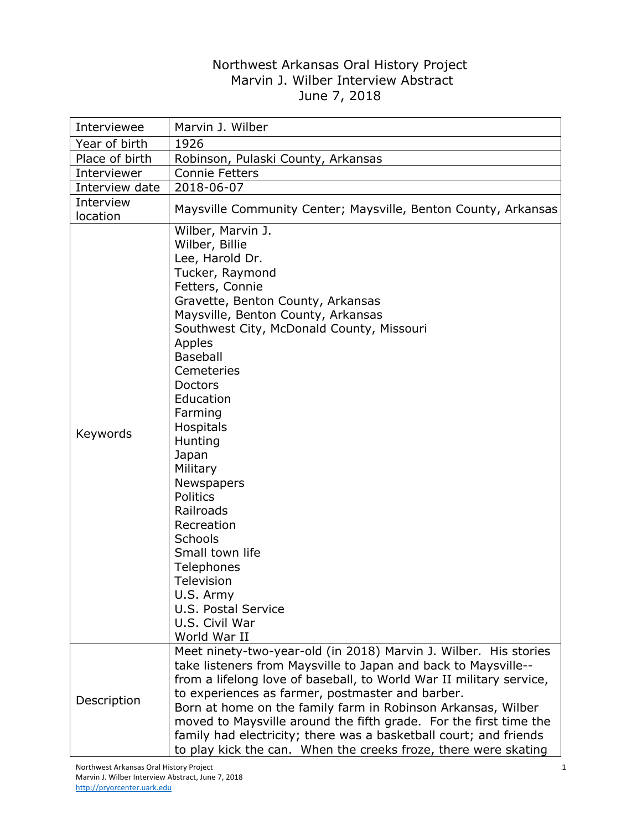## Northwest Arkansas Oral History Project Marvin J. Wilber Interview Abstract June 7, 2018

| Interviewee           | Marvin J. Wilber                                                                                                                                                                                                                                                                                                                                                                                                                                                                                                                                   |
|-----------------------|----------------------------------------------------------------------------------------------------------------------------------------------------------------------------------------------------------------------------------------------------------------------------------------------------------------------------------------------------------------------------------------------------------------------------------------------------------------------------------------------------------------------------------------------------|
| Year of birth         | 1926                                                                                                                                                                                                                                                                                                                                                                                                                                                                                                                                               |
| Place of birth        | Robinson, Pulaski County, Arkansas                                                                                                                                                                                                                                                                                                                                                                                                                                                                                                                 |
| Interviewer           | <b>Connie Fetters</b>                                                                                                                                                                                                                                                                                                                                                                                                                                                                                                                              |
| Interview date        | 2018-06-07                                                                                                                                                                                                                                                                                                                                                                                                                                                                                                                                         |
| Interview<br>location | Maysville Community Center; Maysville, Benton County, Arkansas                                                                                                                                                                                                                                                                                                                                                                                                                                                                                     |
| Keywords              | Wilber, Marvin J.<br>Wilber, Billie<br>Lee, Harold Dr.<br>Tucker, Raymond<br>Fetters, Connie<br>Gravette, Benton County, Arkansas<br>Maysville, Benton County, Arkansas<br>Southwest City, McDonald County, Missouri<br>Apples<br><b>Baseball</b><br>Cemeteries<br><b>Doctors</b><br>Education<br>Farming<br>Hospitals<br>Hunting<br>Japan<br>Military<br>Newspapers<br><b>Politics</b><br>Railroads<br>Recreation<br>Schools<br>Small town life<br>Telephones<br>Television<br>U.S. Army<br>U.S. Postal Service<br>U.S. Civil War<br>World War II |
| Description           | Meet ninety-two-year-old (in 2018) Marvin J. Wilber. His stories<br>take listeners from Maysville to Japan and back to Maysville--<br>from a lifelong love of baseball, to World War II military service,<br>to experiences as farmer, postmaster and barber.<br>Born at home on the family farm in Robinson Arkansas, Wilber<br>moved to Maysville around the fifth grade. For the first time the<br>family had electricity; there was a basketball court; and friends<br>to play kick the can. When the creeks froze, there were skating         |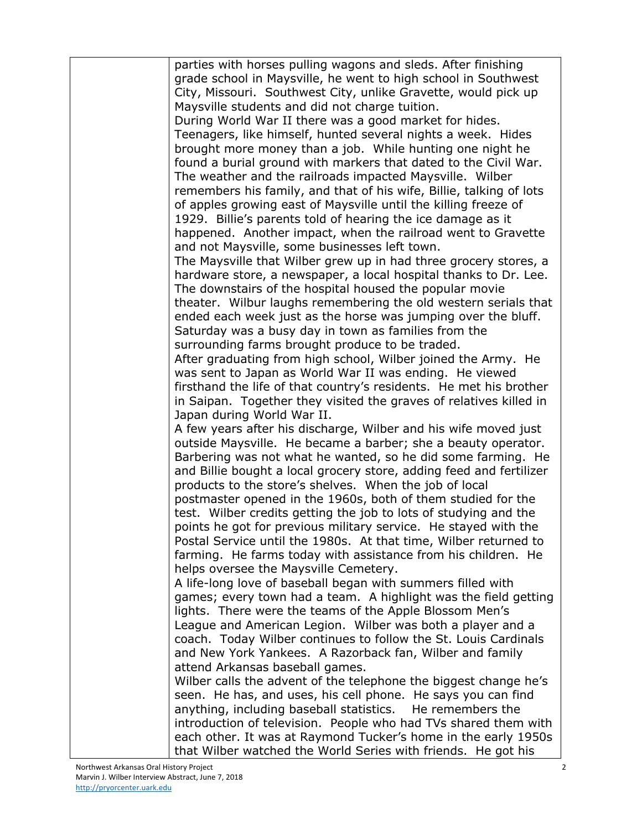| parties with horses pulling wagons and sleds. After finishing                                                              |
|----------------------------------------------------------------------------------------------------------------------------|
| grade school in Maysville, he went to high school in Southwest                                                             |
| City, Missouri. Southwest City, unlike Gravette, would pick up                                                             |
| Maysville students and did not charge tuition.                                                                             |
| During World War II there was a good market for hides.                                                                     |
| Teenagers, like himself, hunted several nights a week. Hides                                                               |
| brought more money than a job. While hunting one night he                                                                  |
| found a burial ground with markers that dated to the Civil War.                                                            |
| The weather and the railroads impacted Maysville. Wilber                                                                   |
| remembers his family, and that of his wife, Billie, talking of lots                                                        |
| of apples growing east of Maysville until the killing freeze of                                                            |
| 1929. Billie's parents told of hearing the ice damage as it                                                                |
| happened. Another impact, when the railroad went to Gravette                                                               |
| and not Maysville, some businesses left town.                                                                              |
| The Maysville that Wilber grew up in had three grocery stores, a                                                           |
| hardware store, a newspaper, a local hospital thanks to Dr. Lee.                                                           |
| The downstairs of the hospital housed the popular movie<br>theater. Wilbur laughs remembering the old western serials that |
| ended each week just as the horse was jumping over the bluff.                                                              |
| Saturday was a busy day in town as families from the                                                                       |
| surrounding farms brought produce to be traded.                                                                            |
| After graduating from high school, Wilber joined the Army. He                                                              |
| was sent to Japan as World War II was ending. He viewed                                                                    |
| firsthand the life of that country's residents. He met his brother                                                         |
| in Saipan. Together they visited the graves of relatives killed in                                                         |
| Japan during World War II.                                                                                                 |
| A few years after his discharge, Wilber and his wife moved just                                                            |
| outside Maysville. He became a barber; she a beauty operator.                                                              |
| Barbering was not what he wanted, so he did some farming. He                                                               |
| and Billie bought a local grocery store, adding feed and fertilizer                                                        |
| products to the store's shelves. When the job of local                                                                     |
| postmaster opened in the 1960s, both of them studied for the                                                               |
| test. Wilber credits getting the job to lots of studying and the                                                           |
| points he got for previous military service. He stayed with the                                                            |
| Postal Service until the 1980s. At that time, Wilber returned to                                                           |
| farming. He farms today with assistance from his children. He                                                              |
| helps oversee the Maysville Cemetery.                                                                                      |
| A life-long love of baseball began with summers filled with                                                                |
| games; every town had a team. A highlight was the field getting                                                            |
| lights. There were the teams of the Apple Blossom Men's<br>League and American Legion. Wilber was both a player and a      |
| coach. Today Wilber continues to follow the St. Louis Cardinals                                                            |
| and New York Yankees. A Razorback fan, Wilber and family                                                                   |
| attend Arkansas baseball games.                                                                                            |
| Wilber calls the advent of the telephone the biggest change he's                                                           |
| seen. He has, and uses, his cell phone. He says you can find                                                               |
| anything, including baseball statistics. He remembers the                                                                  |
| introduction of television. People who had TVs shared them with                                                            |
| each other. It was at Raymond Tucker's home in the early 1950s                                                             |
| that Wilber watched the World Series with friends. He got his                                                              |